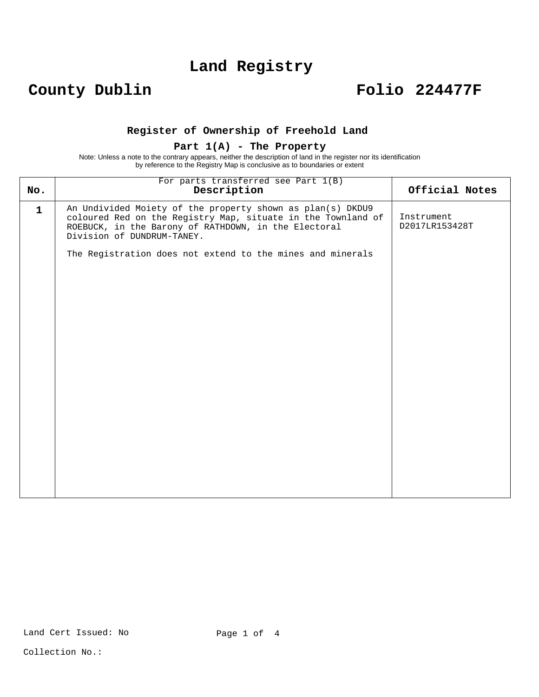## **Land Registry**

## **County Dublin Folio 224477F**

### **Register of Ownership of Freehold Land**

#### **Part 1(A) - The Property**

Note: Unless a note to the contrary appears, neither the description of land in the register nor its identification by reference to the Registry Map is conclusive as to boundaries or extent

| No.          | For parts transferred see Part 1(B)<br>Description                                                                                                                                                               | Official Notes               |
|--------------|------------------------------------------------------------------------------------------------------------------------------------------------------------------------------------------------------------------|------------------------------|
| $\mathbf{1}$ | An Undivided Moiety of the property shown as plan(s) DKDU9<br>coloured Red on the Registry Map, situate in the Townland of<br>ROEBUCK, in the Barony of RATHDOWN, in the Electoral<br>Division of DUNDRUM-TANEY. | Instrument<br>D2017LR153428T |
|              | The Registration does not extend to the mines and minerals                                                                                                                                                       |                              |
|              |                                                                                                                                                                                                                  |                              |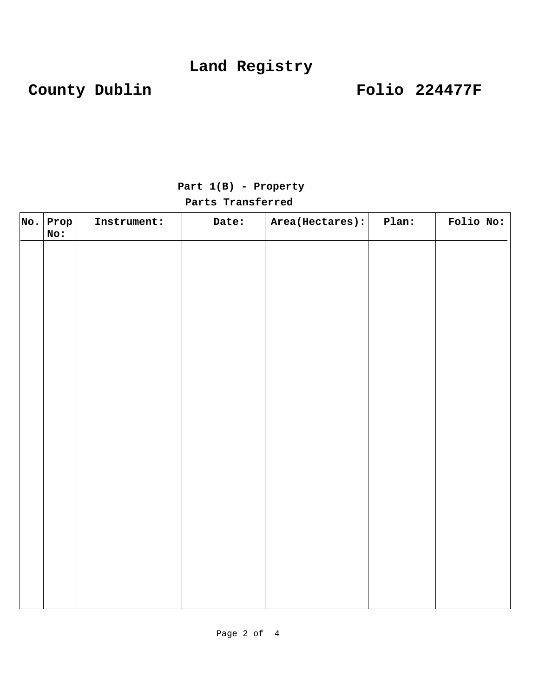# **County Dublin Folio 224477F**

| $ {\tt No.} $ ${\tt Prop} $<br>No: | Instrument: | Date: | Area(Hectares): | Plan: | Folio No: |
|------------------------------------|-------------|-------|-----------------|-------|-----------|
|                                    |             |       |                 |       |           |
|                                    |             |       |                 |       |           |
|                                    |             |       |                 |       |           |
|                                    |             |       |                 |       |           |
|                                    |             |       |                 |       |           |
|                                    |             |       |                 |       |           |
|                                    |             |       |                 |       |           |
|                                    |             |       |                 |       |           |
|                                    |             |       |                 |       |           |
|                                    |             |       |                 |       |           |
|                                    |             |       |                 |       |           |
|                                    |             |       |                 |       |           |
|                                    |             |       |                 |       |           |
|                                    |             |       |                 |       |           |

## **Part 1(B) - Property Parts Transferred**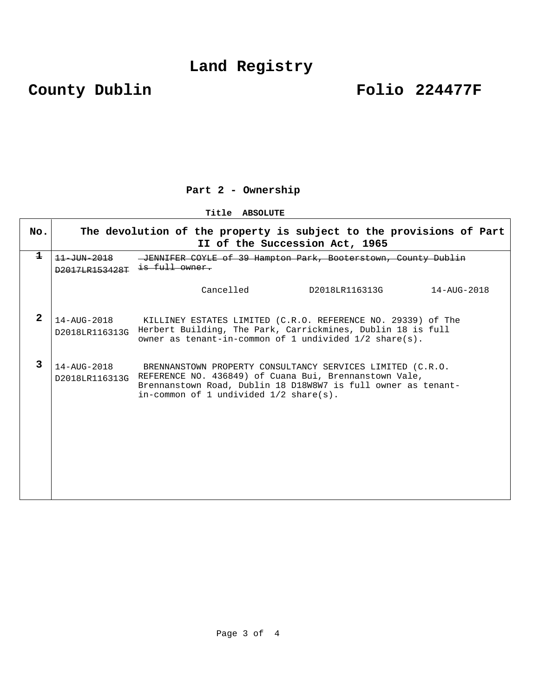# **County Dublin Folio 224477F**

## **Part 2 - Ownership**

**Title ABSOLUTE** 

| No.          | The devolution of the property is subject to the provisions of Part<br>II of the Succession Act, 1965 |                                                                                                                                                                                                                                   |  |  |  |
|--------------|-------------------------------------------------------------------------------------------------------|-----------------------------------------------------------------------------------------------------------------------------------------------------------------------------------------------------------------------------------|--|--|--|
| $\mathbf 1$  | $11 - 1$ $11 - 2018$<br>D2017LB153428T                                                                | JENNIFER COYLE of 39 Hampton Park, Booterstown, County Dublin                                                                                                                                                                     |  |  |  |
|              |                                                                                                       | Cancelled<br>D2018LR116313G<br>14-AUG-2018                                                                                                                                                                                        |  |  |  |
| $\mathbf{2}$ | $14 - \text{AUG} - 2018$<br>D2018LR116313G                                                            | KILLINEY ESTATES LIMITED (C.R.O. REFERENCE NO. 29339) of The<br>Herbert Building, The Park, Carrickmines, Dublin 18 is full<br>owner as tenant-in-common of 1 undivided $1/2$ share(s).                                           |  |  |  |
| 3            | $14 - \text{A}$ IIG $-2018$<br>D2018LR116313G                                                         | BRENNANSTOWN PROPERTY CONSULTANCY SERVICES LIMITED (C.R.O.<br>REFERENCE NO. 436849) of Cuana Bui, Brennanstown Vale,<br>Brennanstown Road, Dublin 18 D18W8W7 is full owner as tenant-<br>in-common of 1 undivided $1/2$ share(s). |  |  |  |